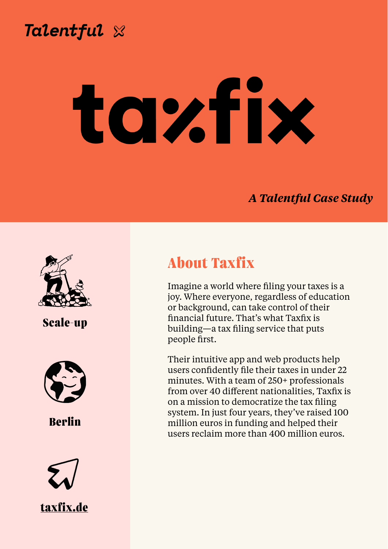

**Chris Wilkinson, Director of People**

### *A Talentful Case Study*



**About Taxfix** 

Imagine a world where filing your taxes is a joy. Where everyone, regardless of education or background, can take control of their financial future. That's what Taxfix is building—a tax filing service that puts people first.

Their intuitive app and web products help users confidently file their taxes in under 22 minutes. With a team of 250+ professionals from over 40 different nationalities, Taxfix is on a mission to democratize the tax filing system. In just four years, they've raised 100 million euros in funding and helped their users reclaim more than 400 million euros.



# **Scale-up**



**Berlin**

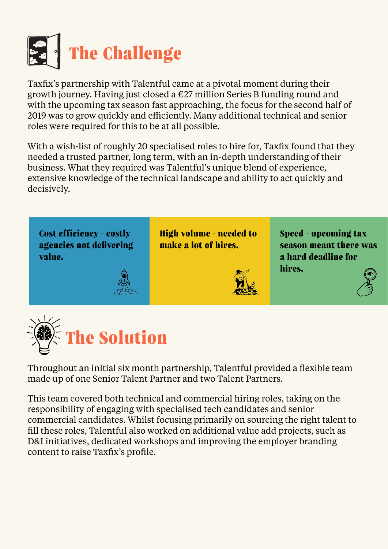

Taxfix's partnership with Talentful came at a pivotal moment during their growth journey. Having just closed a €27 million Series B funding round and with the upcoming tax season fast approaching, the focus for the second half of 2019 was to grow quickly and efficiently. Many additional technical and senior roles were required for this to be at all possible.

With a wish-list of roughly 20 specialised roles to hire for, Taxfix found that they needed a trusted partner, long term, with an in-depth understanding of their business. What they required was Talentful's unique blend of experience, extensive knowledge of the technical landscape and ability to act quickly and decisively.

Cost efficiency - costly **agencies not delivering value.**



Throughout an initial six month partnership, Talentful provided a flexible team made up of one Senior Talent Partner and two Talent Partners.

This team covered both technical and commercial hiring roles, taking on the responsibility of engaging with specialised tech candidates and senior commercial candidates. Whilst focusing primarily on sourcing the right talent to fill these roles, Talentful also worked on additional value add projects, such as D&I initiatives, dedicated workshops and improving the employer branding content to raise Taxfix's profile.

**High volume - needed to make a lot of hires.** 

**Speed - upcoming tax season meant there was a hard deadline for**